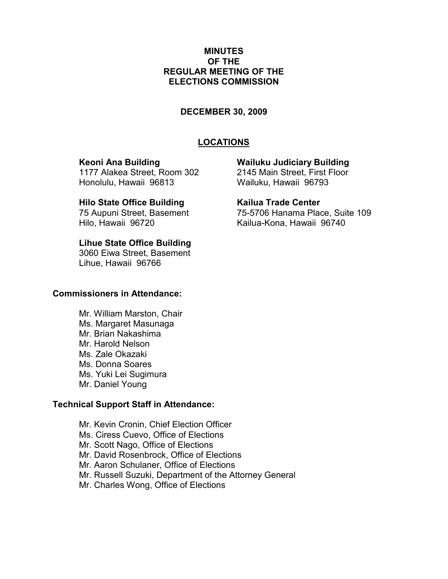## MINUTES OF THE REGULAR MEETING OF THE ELECTIONS COMMISSION

#### DECEMBER 30, 2009

# LOCATIONS

1177 Alakea Street, Room 302 2145 Main Street, First Floor Honolulu, Hawaii 96813 Wailuku, Hawaii 96793

#### Hilo State Office Building Trade Center

Hilo, Hawaii 96720 Kailua-Kona, Hawaii 96740

# Lihue State Office Building

3060 Eiwa Street, Basement Lihue, Hawaii 96766

#### Commissioners in Attendance:

 Mr. William Marston, Chair Ms. Margaret Masunaga Mr. Brian Nakashima Mr. Harold Nelson Ms. Zale Okazaki Ms. Donna Soares Ms. Yuki Lei Sugimura Mr. Daniel Young

# Technical Support Staff in Attendance:

Mr. Kevin Cronin, Chief Election Officer Ms. Ciress Cuevo, Office of Elections Mr. Scott Nago, Office of Elections Mr. David Rosenbrock, Office of Elections Mr. Aaron Schulaner, Office of Elections Mr. Russell Suzuki, Department of the Attorney General Mr. Charles Wong, Office of Elections

Keoni Ana Building Wailuku Judiciary Building

75 Aupuni Street, Basement 75-5706 Hanama Place, Suite 109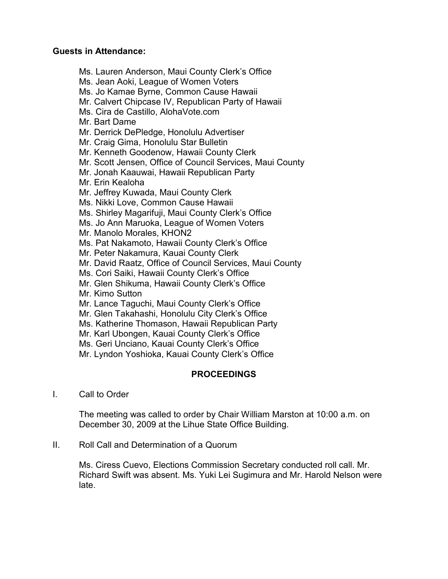# Guests in Attendance:

Ms. Lauren Anderson, Maui County Clerk's Office Ms. Jean Aoki, League of Women Voters Ms. Jo Kamae Byrne, Common Cause Hawaii Mr. Calvert Chipcase IV, Republican Party of Hawaii Ms. Cira de Castillo, AlohaVote.com Mr. Bart Dame Mr. Derrick DePledge, Honolulu Advertiser Mr. Craig Gima, Honolulu Star Bulletin Mr. Kenneth Goodenow, Hawaii County Clerk Mr. Scott Jensen, Office of Council Services, Maui County Mr. Jonah Kaauwai, Hawaii Republican Party Mr. Erin Kealoha Mr. Jeffrey Kuwada, Maui County Clerk Ms. Nikki Love, Common Cause Hawaii Ms. Shirley Magarifuji, Maui County Clerk's Office Ms. Jo Ann Maruoka, League of Women Voters Mr. Manolo Morales, KHON2 Ms. Pat Nakamoto, Hawaii County Clerk's Office Mr. Peter Nakamura, Kauai County Clerk Mr. David Raatz, Office of Council Services, Maui County Ms. Cori Saiki, Hawaii County Clerk's Office Mr. Glen Shikuma, Hawaii County Clerk's Office Mr. Kimo Sutton Mr. Lance Taguchi, Maui County Clerk's Office Mr. Glen Takahashi, Honolulu City Clerk's Office Ms. Katherine Thomason, Hawaii Republican Party Mr. Karl Ubongen, Kauai County Clerk's Office Ms. Geri Unciano, Kauai County Clerk's Office Mr. Lyndon Yoshioka, Kauai County Clerk's Office

# PROCEEDINGS

I. Call to Order

The meeting was called to order by Chair William Marston at 10:00 a.m. on December 30, 2009 at the Lihue State Office Building.

II. Roll Call and Determination of a Quorum

Ms. Ciress Cuevo, Elections Commission Secretary conducted roll call. Mr. Richard Swift was absent. Ms. Yuki Lei Sugimura and Mr. Harold Nelson were late.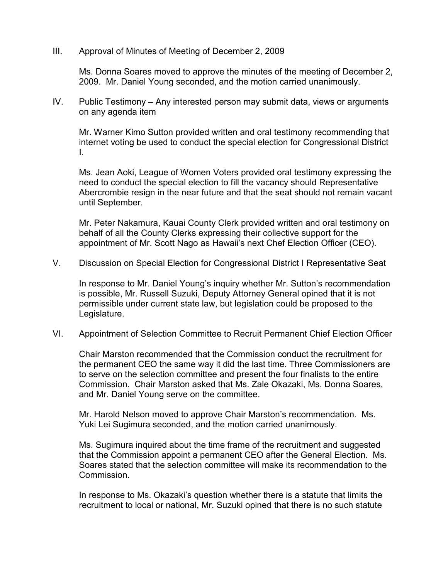III. Approval of Minutes of Meeting of December 2, 2009

Ms. Donna Soares moved to approve the minutes of the meeting of December 2, 2009. Mr. Daniel Young seconded, and the motion carried unanimously.

IV. Public Testimony – Any interested person may submit data, views or arguments on any agenda item

Mr. Warner Kimo Sutton provided written and oral testimony recommending that internet voting be used to conduct the special election for Congressional District I.

Ms. Jean Aoki, League of Women Voters provided oral testimony expressing the need to conduct the special election to fill the vacancy should Representative Abercrombie resign in the near future and that the seat should not remain vacant until September.

Mr. Peter Nakamura, Kauai County Clerk provided written and oral testimony on behalf of all the County Clerks expressing their collective support for the appointment of Mr. Scott Nago as Hawaii's next Chef Election Officer (CEO).

V. Discussion on Special Election for Congressional District I Representative Seat

In response to Mr. Daniel Young's inquiry whether Mr. Sutton's recommendation is possible, Mr. Russell Suzuki, Deputy Attorney General opined that it is not permissible under current state law, but legislation could be proposed to the Legislature.

VI. Appointment of Selection Committee to Recruit Permanent Chief Election Officer

Chair Marston recommended that the Commission conduct the recruitment for the permanent CEO the same way it did the last time. Three Commissioners are to serve on the selection committee and present the four finalists to the entire Commission. Chair Marston asked that Ms. Zale Okazaki, Ms. Donna Soares, and Mr. Daniel Young serve on the committee.

Mr. Harold Nelson moved to approve Chair Marston's recommendation. Ms. Yuki Lei Sugimura seconded, and the motion carried unanimously.

Ms. Sugimura inquired about the time frame of the recruitment and suggested that the Commission appoint a permanent CEO after the General Election. Ms. Soares stated that the selection committee will make its recommendation to the Commission.

In response to Ms. Okazaki's question whether there is a statute that limits the recruitment to local or national, Mr. Suzuki opined that there is no such statute